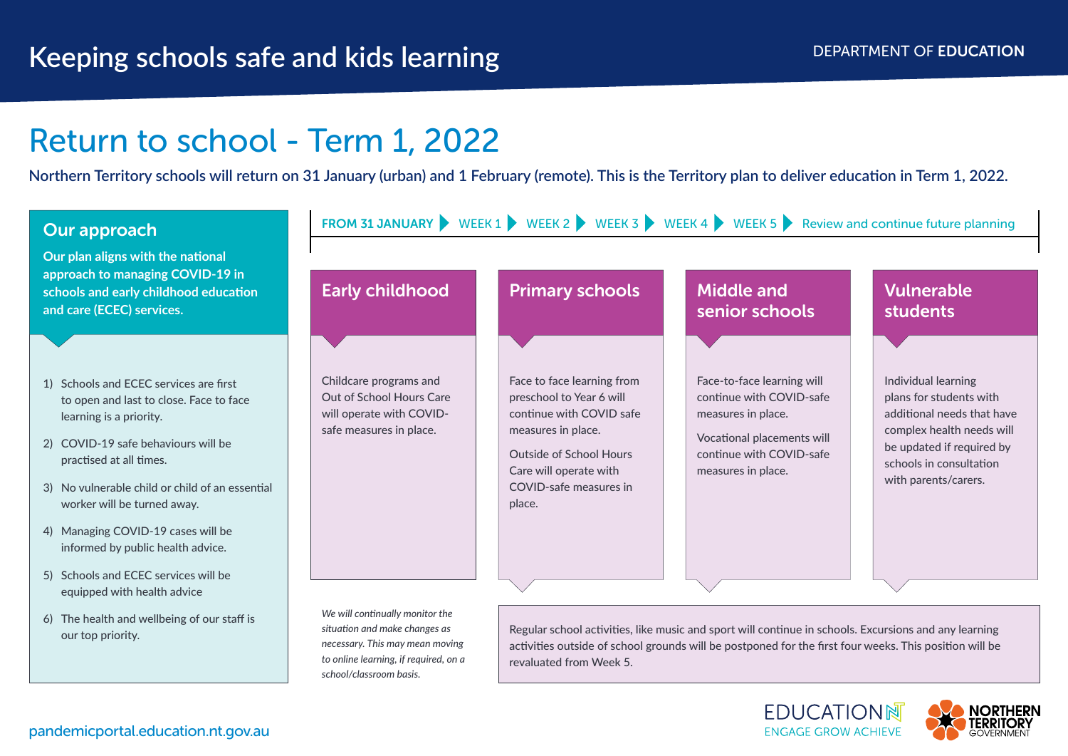**ENGAGE GROW ACHIEVE** 

# Return to school - Term 1, 2022

**Northern Territory schools will return on 31 January (urban) and 1 February (remote). This is the Territory plan to deliver education in Term 1, 2022.**